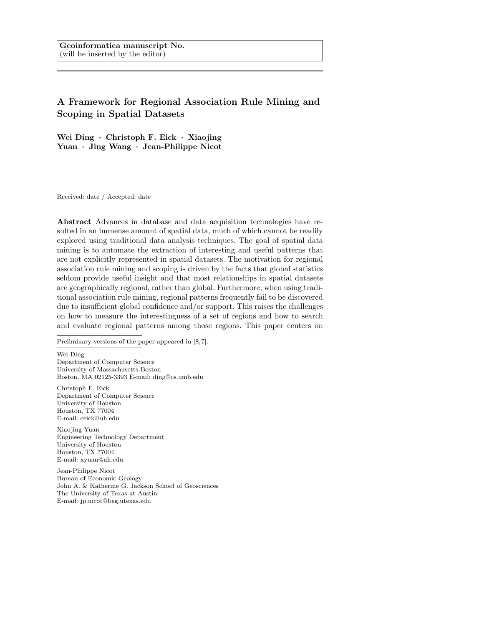# A Framework for Regional Association Rule Mining and Scoping in Spatial Datasets

Wei Ding · Christoph F. Eick · Xiaojing Yuan · Jing Wang · Jean-Philippe Nicot

Received: date / Accepted: date

Abstract Advances in database and data acquisition technologies have resulted in an immense amount of spatial data, much of which cannot be readily explored using traditional data analysis techniques. The goal of spatial data mining is to automate the extraction of interesting and useful patterns that are not explicitly represented in spatial datasets. The motivation for regional association rule mining and scoping is driven by the facts that global statistics seldom provide useful insight and that most relationships in spatial datasets are geographically regional, rather than global. Furthermore, when using traditional association rule mining, regional patterns frequently fail to be discovered due to insufficient global confidence and/or support. This raises the challenges on how to measure the interestingness of a set of regions and how to search and evaluate regional patterns among those regions. This paper centers on

Preliminary versions of the paper appeared in [8,7].

Wei Ding Department of Computer Science University of Massachusetts-Boston Boston, MA 02125-3393 E-mail: ding@cs.umb.edu

Christoph F. Eick Department of Computer Science University of Houston Houston, TX 77004 E-mail: ceick@uh.edu

Xiaojing Yuan Engineering Technology Department University of Houston Houston, TX 77004 E-mail: xyuan@uh.edu

Jean-Philippe Nicot Bureau of Economic Geology John A. & Katherine G. Jackson School of Geosciences The University of Texas at Austin E-mail: jp.nicot@beg.utexas.edu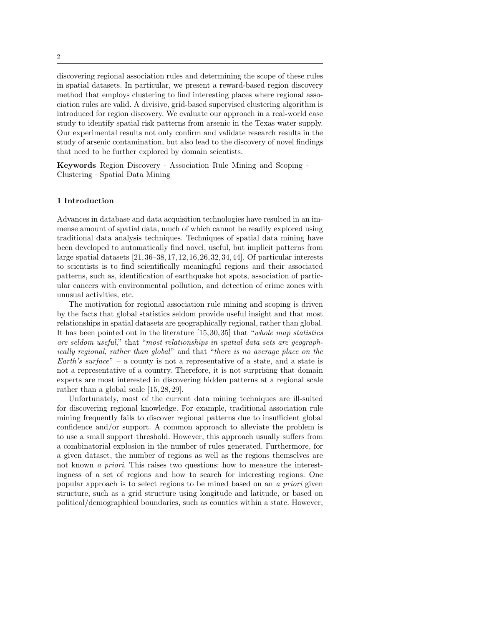discovering regional association rules and determining the scope of these rules in spatial datasets. In particular, we present a reward-based region discovery method that employs clustering to find interesting places where regional association rules are valid. A divisive, grid-based supervised clustering algorithm is introduced for region discovery. We evaluate our approach in a real-world case study to identify spatial risk patterns from arsenic in the Texas water supply. Our experimental results not only confirm and validate research results in the study of arsenic contamination, but also lead to the discovery of novel findings that need to be further explored by domain scientists.

Keywords Region Discovery · Association Rule Mining and Scoping · Clustering · Spatial Data Mining

# 1 Introduction

Advances in database and data acquisition technologies have resulted in an immense amount of spatial data, much of which cannot be readily explored using traditional data analysis techniques. Techniques of spatial data mining have been developed to automatically find novel, useful, but implicit patterns from large spatial datasets [21, 36–38, 17, 12, 16, 26, 32, 34, 44]. Of particular interests to scientists is to find scientifically meaningful regions and their associated patterns, such as, identification of earthquake hot spots, association of particular cancers with environmental pollution, and detection of crime zones with unusual activities, etc.

The motivation for regional association rule mining and scoping is driven by the facts that global statistics seldom provide useful insight and that most relationships in spatial datasets are geographically regional, rather than global. It has been pointed out in the literature [15, 30, 35] that "whole map statistics are seldom useful," that "most relationships in spatial data sets are geographically regional, rather than global" and that "there is no average place on the Earth's surface" – a county is not a representative of a state, and a state is not a representative of a country. Therefore, it is not surprising that domain experts are most interested in discovering hidden patterns at a regional scale rather than a global scale [15, 28, 29].

Unfortunately, most of the current data mining techniques are ill-suited for discovering regional knowledge. For example, traditional association rule mining frequently fails to discover regional patterns due to insufficient global confidence and/or support. A common approach to alleviate the problem is to use a small support threshold. However, this approach usually suffers from a combinatorial explosion in the number of rules generated. Furthermore, for a given dataset, the number of regions as well as the regions themselves are not known a priori. This raises two questions: how to measure the interestingness of a set of regions and how to search for interesting regions. One popular approach is to select regions to be mined based on an a priori given structure, such as a grid structure using longitude and latitude, or based on political/demographical boundaries, such as counties within a state. However,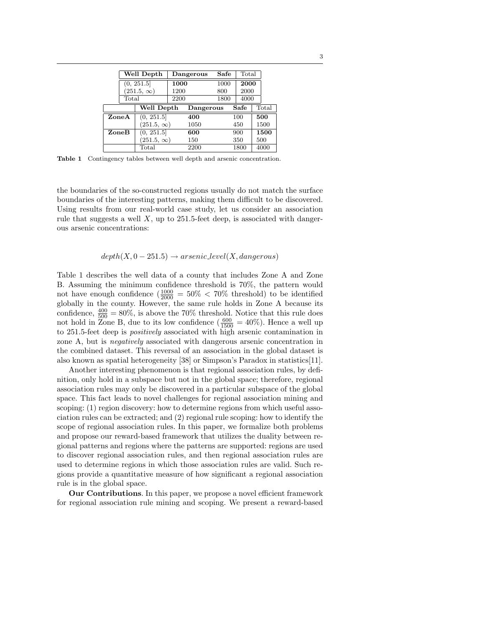|       | Well Depth        |                   | Dangerous |           | Safe | Total |       |
|-------|-------------------|-------------------|-----------|-----------|------|-------|-------|
|       | (0, 251.5]        |                   | 1000      |           | 1000 | 2000  |       |
|       | $(251.5, \infty)$ |                   | 1200      |           | 800  | 2000  |       |
|       | Total             |                   | 2200      |           | 1800 | 4000  |       |
|       |                   | Well Depth        |           | Dangerous |      | Safe  | Total |
| ZoneA |                   | (0, 251.5]        |           | 400       |      | 100   | 500   |
|       |                   | $(251.5, \infty)$ |           | 1050      |      | 450   | 1500  |
| ZoneB |                   | (0, 251.5]        |           | 600       |      | 900   | 1500  |
|       |                   | $(251.5, \infty)$ |           | 150       |      | 350   | 500   |
|       |                   | Total             |           | 2200      |      | 1800  | 4000  |

Table 1 Contingency tables between well depth and arsenic concentration.

the boundaries of the so-constructed regions usually do not match the surface boundaries of the interesting patterns, making them difficult to be discovered. Using results from our real-world case study, let us consider an association rule that suggests a well  $X$ , up to 251.5-feet deep, is associated with dangerous arsenic concentrations:

# $depth(X, 0-251.5) \rightarrow arsenic\_level(X, dangerous)$

Table 1 describes the well data of a county that includes Zone A and Zone B. Assuming the minimum confidence threshold is 70%, the pattern would not have enough confidence  $(\frac{1000}{2000} = 50\% < 70\%$  threshold) to be identified globally in the county. However, the same rule holds in Zone A because its confidence,  $\frac{400}{500} = 80\%$ , is above the 70% threshold. Notice that this rule does not hold in Zone B, due to its low confidence  $(\frac{600}{1500} = 40\%)$ . Hence a well up to 251.5-feet deep is positively associated with high arsenic contamination in zone A, but is negatively associated with dangerous arsenic concentration in the combined dataset. This reversal of an association in the global dataset is also known as spatial heterogeneity [38] or Simpson's Paradox in statistics[11].

Another interesting phenomenon is that regional association rules, by definition, only hold in a subspace but not in the global space; therefore, regional association rules may only be discovered in a particular subspace of the global space. This fact leads to novel challenges for regional association mining and scoping: (1) region discovery: how to determine regions from which useful association rules can be extracted; and (2) regional rule scoping: how to identify the scope of regional association rules. In this paper, we formalize both problems and propose our reward-based framework that utilizes the duality between regional patterns and regions where the patterns are supported: regions are used to discover regional association rules, and then regional association rules are used to determine regions in which those association rules are valid. Such regions provide a quantitative measure of how significant a regional association rule is in the global space.

Our Contributions. In this paper, we propose a novel efficient framework for regional association rule mining and scoping. We present a reward-based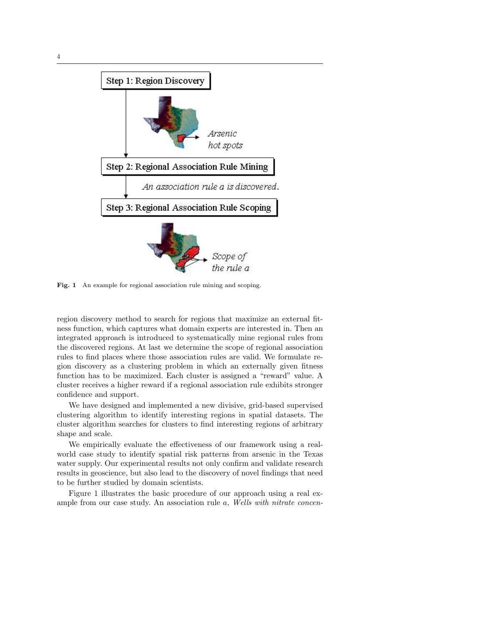

Fig. 1 An example for regional association rule mining and scoping.

region discovery method to search for regions that maximize an external fitness function, which captures what domain experts are interested in. Then an integrated approach is introduced to systematically mine regional rules from the discovered regions. At last we determine the scope of regional association rules to find places where those association rules are valid. We formulate region discovery as a clustering problem in which an externally given fitness function has to be maximized. Each cluster is assigned a "reward" value. A cluster receives a higher reward if a regional association rule exhibits stronger confidence and support.

We have designed and implemented a new divisive, grid-based supervised clustering algorithm to identify interesting regions in spatial datasets. The cluster algorithm searches for clusters to find interesting regions of arbitrary shape and scale.

We empirically evaluate the effectiveness of our framework using a realworld case study to identify spatial risk patterns from arsenic in the Texas water supply. Our experimental results not only confirm and validate research results in geoscience, but also lead to the discovery of novel findings that need to be further studied by domain scientists.

Figure 1 illustrates the basic procedure of our approach using a real example from our case study. An association rule a, Wells with nitrate concen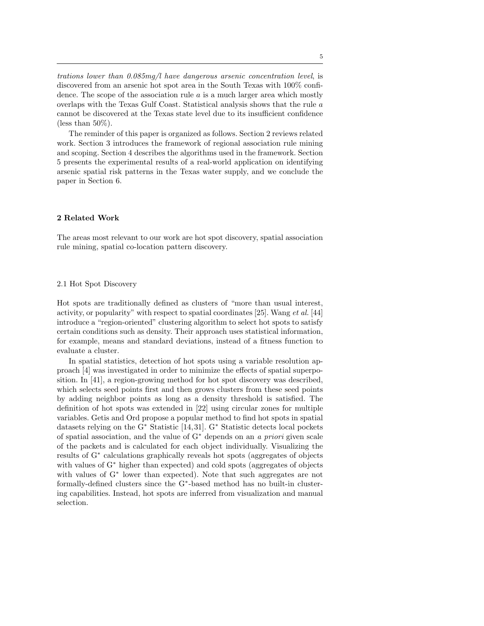trations lower than 0.085mg/l have dangerous arsenic concentration level, is discovered from an arsenic hot spot area in the South Texas with 100% confidence. The scope of the association rule  $a$  is a much larger area which mostly overlaps with the Texas Gulf Coast. Statistical analysis shows that the rule a cannot be discovered at the Texas state level due to its insufficient confidence (less than  $50\%$ ).

The reminder of this paper is organized as follows. Section 2 reviews related work. Section 3 introduces the framework of regional association rule mining and scoping. Section 4 describes the algorithms used in the framework. Section 5 presents the experimental results of a real-world application on identifying arsenic spatial risk patterns in the Texas water supply, and we conclude the paper in Section 6.

## 2 Related Work

The areas most relevant to our work are hot spot discovery, spatial association rule mining, spatial co-location pattern discovery.

## 2.1 Hot Spot Discovery

Hot spots are traditionally defined as clusters of "more than usual interest, activity, or popularity" with respect to spatial coordinates [25]. Wang et al. [44] introduce a "region-oriented" clustering algorithm to select hot spots to satisfy certain conditions such as density. Their approach uses statistical information, for example, means and standard deviations, instead of a fitness function to evaluate a cluster.

In spatial statistics, detection of hot spots using a variable resolution approach [4] was investigated in order to minimize the effects of spatial superposition. In [41], a region-growing method for hot spot discovery was described, which selects seed points first and then grows clusters from these seed points by adding neighbor points as long as a density threshold is satisfied. The definition of hot spots was extended in [22] using circular zones for multiple variables. Getis and Ord propose a popular method to find hot spots in spatial datasets relying on the G<sup>∗</sup> Statistic [14, 31]. G<sup>∗</sup> Statistic detects local pockets of spatial association, and the value of G<sup>∗</sup> depends on an a priori given scale of the packets and is calculated for each object individually. Visualizing the results of G<sup>∗</sup> calculations graphically reveals hot spots (aggregates of objects with values of G<sup>∗</sup> higher than expected) and cold spots (aggregates of objects with values of G<sup>∗</sup> lower than expected). Note that such aggregates are not formally-defined clusters since the G<sup>∗</sup> -based method has no built-in clustering capabilities. Instead, hot spots are inferred from visualization and manual selection.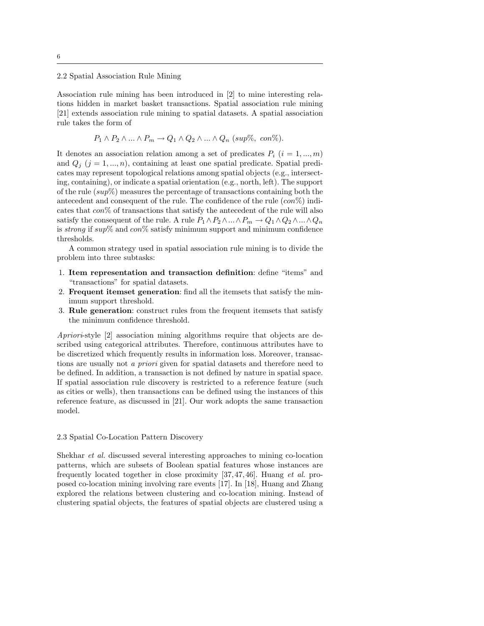2.2 Spatial Association Rule Mining

Association rule mining has been introduced in [2] to mine interesting relations hidden in market basket transactions. Spatial association rule mining [21] extends association rule mining to spatial datasets. A spatial association rule takes the form of

$$
P_1 \wedge P_2 \wedge ... \wedge P_m \rightarrow Q_1 \wedge Q_2 \wedge ... \wedge Q_n
$$
 (sup%, con%).

It denotes an association relation among a set of predicates  $P_i$   $(i = 1, ..., m)$ and  $Q_i$  ( $j = 1, ..., n$ ), containing at least one spatial predicate. Spatial predicates may represent topological relations among spatial objects (e.g., intersecting, containing), or indicate a spatial orientation (e.g., north, left). The support of the rule  $(sup\%)$  measures the percentage of transactions containing both the antecedent and consequent of the rule. The confidence of the rule  $(con\%)$  indicates that  $\cos$ % of transactions that satisfy the antecedent of the rule will also satisfy the consequent of the rule. A rule  $P_1 \wedge P_2 \wedge ... \wedge P_m \rightarrow Q_1 \wedge Q_2 \wedge ... \wedge Q_n$ is strong if sup% and  $\cos$ % satisfy minimum support and minimum confidence thresholds.

A common strategy used in spatial association rule mining is to divide the problem into three subtasks:

- 1. Item representation and transaction definition: define "items" and "transactions" for spatial datasets.
- 2. Frequent itemset generation: find all the itemsets that satisfy the minimum support threshold.
- 3. Rule generation: construct rules from the frequent itemsets that satisfy the minimum confidence threshold.

Apriori-style [2] association mining algorithms require that objects are described using categorical attributes. Therefore, continuous attributes have to be discretized which frequently results in information loss. Moreover, transactions are usually not a priori given for spatial datasets and therefore need to be defined. In addition, a transaction is not defined by nature in spatial space. If spatial association rule discovery is restricted to a reference feature (such as cities or wells), then transactions can be defined using the instances of this reference feature, as discussed in [21]. Our work adopts the same transaction model.

#### 2.3 Spatial Co-Location Pattern Discovery

Shekhar et al. discussed several interesting approaches to mining co-location patterns, which are subsets of Boolean spatial features whose instances are frequently located together in close proximity [37, 47, 46]. Huang et al. proposed co-location mining involving rare events [17]. In [18], Huang and Zhang explored the relations between clustering and co-location mining. Instead of clustering spatial objects, the features of spatial objects are clustered using a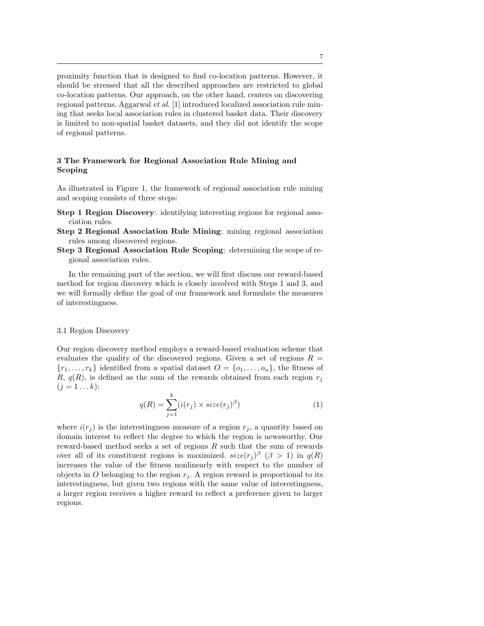proximity function that is designed to find co-location patterns. However, it should be stressed that all the described approaches are restricted to global co-location patterns. Our approach, on the other hand, centers on discovering regional patterns. Aggarwal et al. [1] introduced localized association rule mining that seeks local association rules in clustered basket data. Their discovery is limited to non-spatial basket datasets, and they did not identify the scope of regional patterns.

# 3 The Framework for Regional Association Rule Mining and Scoping

As illustrated in Figure 1, the framework of regional association rule mining and scoping consists of three steps:

- Step 1 Region Discovery: identifying interesting regions for regional association rules.
- Step 2 Regional Association Rule Mining: mining regional association rules among discovered regions.
- Step 3 Regional Association Rule Scoping: determining the scope of regional association rules.

In the remaining part of the section, we will first discuss our reward-based method for region discovery which is closely involved with Steps 1 and 3, and we will formally define the goal of our framework and formulate the measures of interestingness.

#### 3.1 Region Discovery

Our region discovery method employs a reward-based evaluation scheme that evaluates the quality of the discovered regions. Given a set of regions  $R =$  ${r_1, \ldots, r_k}$  identified from a spatial dataset  $O = \{o_1, \ldots, o_n\}$ , the fitness of R,  $q(R)$ , is defined as the sum of the rewards obtained from each region  $r_j$  $(j = 1 ... k)$ :

$$
q(R) = \sum_{j=1}^{k} (i(r_j) \times size(r_j)^{\beta})
$$
\n(1)

where  $i(r_i)$  is the interestingness measure of a region  $r_i$ , a quantity based on domain interest to reflect the degree to which the region is newsworthy. Our reward-based method seeks a set of regions  $R$  such that the sum of rewards over all of its constituent regions is maximized.  $size(r_j)^{\beta}$  ( $\beta > 1$ ) in  $q(R)$ increases the value of the fitness nonlinearly with respect to the number of objects in O belonging to the region  $r_j$ . A region reward is proportional to its interestingness, but given two regions with the same value of interestingness, a larger region receives a higher reward to reflect a preference given to larger regions.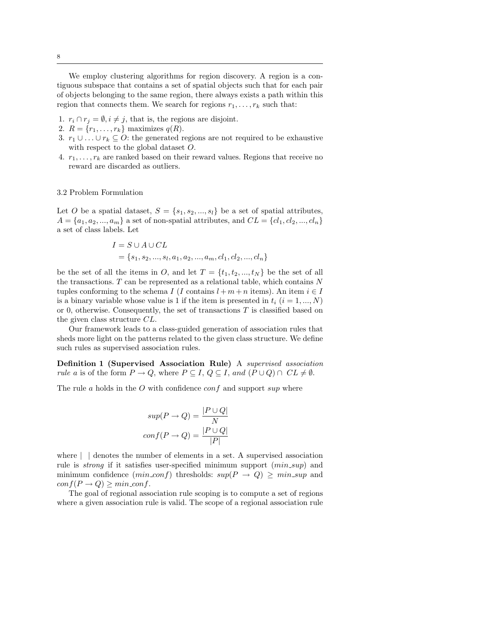We employ clustering algorithms for region discovery. A region is a contiguous subspace that contains a set of spatial objects such that for each pair of objects belonging to the same region, there always exists a path within this region that connects them. We search for regions  $r_1, \ldots, r_k$  such that:

- 1.  $r_i \cap r_j = \emptyset, i \neq j$ , that is, the regions are disjoint.
- 2.  $R = \{r_1, ..., r_k\}$  maximizes  $q(R)$ .
- 3.  $r_1 \cup \ldots \cup r_k \subseteq O$ : the generated regions are not required to be exhaustive with respect to the global dataset O.
- 4.  $r_1, \ldots, r_k$  are ranked based on their reward values. Regions that receive no reward are discarded as outliers.

## 3.2 Problem Formulation

Let O be a spatial dataset,  $S = \{s_1, s_2, ..., s_l\}$  be a set of spatial attributes,  $A = \{a_1, a_2, ..., a_m\}$  a set of non-spatial attributes, and  $CL = \{c_1, c_2, ..., c_n\}$ a set of class labels. Let

$$
I = S \cup A \cup CL
$$
  
= {s<sub>1</sub>, s<sub>2</sub>, ..., s<sub>l</sub>, a<sub>1</sub>, a<sub>2</sub>, ..., a<sub>m</sub>, cl<sub>1</sub>, cl<sub>2</sub>, ..., cl<sub>n</sub>}

be the set of all the items in O, and let  $T = \{t_1, t_2, ..., t_N\}$  be the set of all the transactions.  $T$  can be represented as a relational table, which contains  $N$ tuples conforming to the schema I (I contains  $l + m + n$  items). An item  $i \in I$ is a binary variable whose value is 1 if the item is presented in  $t_i$   $(i = 1, ..., N)$ or 0, otherwise. Consequently, the set of transactions  $T$  is classified based on the given class structure CL.

Our framework leads to a class-guided generation of association rules that sheds more light on the patterns related to the given class structure. We define such rules as supervised association rules.

Definition 1 (Supervised Association Rule) A supervised association rule a is of the form  $P \to Q$ , where  $P \subseteq I$ ,  $Q \subseteq I$ , and  $(P \cup Q) \cap CL \neq \emptyset$ .

The rule a holds in the  $O$  with confidence conf and support sup where

$$
sup(P \to Q) = \frac{|P \cup Q|}{N}
$$

$$
conf(P \to Q) = \frac{|P \cup Q|}{|P|}
$$

where  $\vert \vert$  denotes the number of elements in a set. A supervised association rule is *strong* if it satisfies user-specified minimum support  $(min\_sup)$  and minimum confidence  $(min\_conf)$  thresholds:  $sup(P \rightarrow Q) \geq min\_sup$  and  $conf(P \rightarrow Q) \geq min\_conf.$ 

The goal of regional association rule scoping is to compute a set of regions where a given association rule is valid. The scope of a regional association rule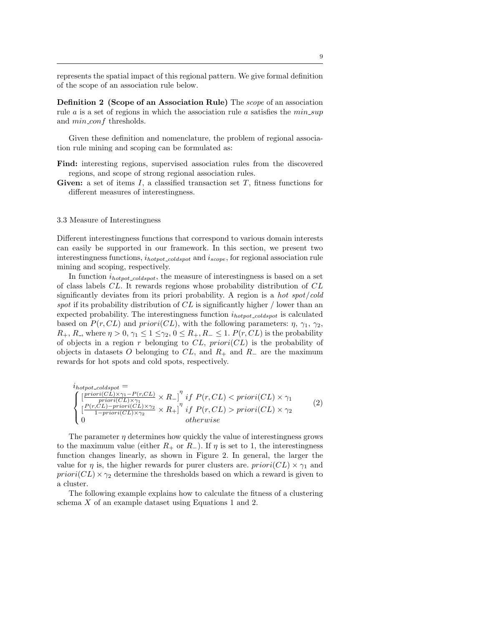represents the spatial impact of this regional pattern. We give formal definition of the scope of an association rule below.

Definition 2 (Scope of an Association Rule) The scope of an association rule  $a$  is a set of regions in which the association rule  $a$  satisfies the  $min\_sup$ and  $min\_conf$  thresholds.

Given these definition and nomenclature, the problem of regional association rule mining and scoping can be formulated as:

- Find: interesting regions, supervised association rules from the discovered regions, and scope of strong regional association rules.
- Given: a set of items  $I$ , a classified transaction set  $T$ , fitness functions for different measures of interestingness.

#### 3.3 Measure of Interestingness

Different interestingness functions that correspond to various domain interests can easily be supported in our framework. In this section, we present two interestingness functions,  $i_{hotpot\_coldspot}$  and  $i_{scope}$ , for regional association rule mining and scoping, respectively.

In function  $i_{hotpot\_coldspot}$ , the measure of interestingness is based on a set of class labels CL. It rewards regions whose probability distribution of CL significantly deviates from its priori probability. A region is a *hot spot/cold* spot if its probability distribution of  $CL$  is significantly higher / lower than an expected probability. The interestingness function  $i_{hotpot\_coldspot}$  is calculated based on  $P(r, CL)$  and  $priori(CL)$ , with the following parameters:  $\eta$ ,  $\gamma_1$ ,  $\gamma_2$ ,  $R_+$ ,  $R_-$ , where  $\eta > 0$ ,  $\gamma_1 \leq 1 \leq \gamma_2$ ,  $0 \leq R_+$ ,  $R_- \leq 1$ .  $P(r, CL)$  is the probability of objects in a region r belonging to  $CL$ ,  $priori(CL)$  is the probability of objects in datasets O belonging to  $CL$ , and  $R_+$  and  $R_-$  are the maximum rewards for hot spots and cold spots, respectively.

$$
i_{hotpot\_coldspot} = \n\begin{cases}\n\left[\frac{prior(CL) \times \gamma_1 - P(r, CL)}{prior(CL) \times \gamma_1} \times R_-\right]^{\eta} & \text{if } P(r, CL) < priori(CL) \times \gamma_1 \\
\left[\frac{P(r, CL) - priori(CL) \times \gamma_2}{1 - priori(CL) \times \gamma_2} \times R_+\right]^{\eta} & \text{if } P(r, CL) > priori(CL) \times \gamma_2 \\
0 & \text{otherwise}\n\end{cases}\n\tag{2}
$$

The parameter  $\eta$  determines how quickly the value of interestingness grows to the maximum value (either  $R_+$  or  $R_-$ ). If  $\eta$  is set to 1, the interestingness function changes linearly, as shown in Figure 2. In general, the larger the value for  $\eta$  is, the higher rewards for purer clusters are.  $priori(CL) \times \gamma_1$  and  $priori(CL) \times \gamma_2$  determine the thresholds based on which a reward is given to a cluster.

The following example explains how to calculate the fitness of a clustering schema X of an example dataset using Equations 1 and 2.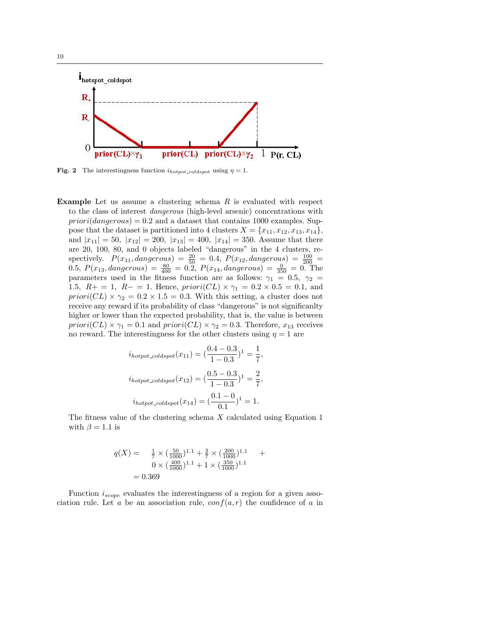

**Fig. 2** The interestingness function  $i_{hotpot}\_{cold\ spot}$  using  $\eta = 1$ .

**Example** Let us assume a clustering schema  $R$  is evaluated with respect to the class of interest dangerous (high-level arsenic) concentrations with  $priori(dangerous) = 0.2$  and a dataset that contains 1000 examples. Suppose that the dataset is partitioned into 4 clusters  $X = \{x_{11}, x_{12}, x_{13}, x_{14}\},\$ and  $|x_{11}| = 50$ ,  $|x_{12}| = 200$ ,  $|x_{13}| = 400$ ,  $|x_{14}| = 350$ . Assume that there are 20, 100, 80, and 0 objects labeled "dangerous" in the 4 clusters, respectively.  $P(x_{11}, \text{dangerous}) = \frac{20}{50} = 0.4, P(x_{12}, \text{dangerous}) = \frac{100}{200} =$ 0.5,  $P(x_{13}, \text{dangerous}) = \frac{80}{400} = 0.2$ ,  $P(x_{14}, \text{dangerous}) = \frac{0}{350} = 0$ . The parameters used in the fitness function are as follows:  $\gamma_1 = 0.5$ ,  $\gamma_2 =$ 1.5,  $R_+ = 1$ ,  $R_- = 1$ . Hence,  $priori(CL) \times \gamma_1 = 0.2 \times 0.5 = 0.1$ , and  $priori(CL) \times \gamma_2 = 0.2 \times 1.5 = 0.3$ . With this setting, a cluster does not receive any reward if its probability of class "dangerous" is not significanlty higher or lower than the expected probability, that is, the value is between priori(CL)  $\times \gamma_1 = 0.1$  and priori(CL)  $\times \gamma_2 = 0.3$ . Therefore,  $x_{13}$  receives no reward. The interestingness for the other clusters using  $\eta = 1$  are

$$
i_{hotpot\_cold}(x_{11}) = \left(\frac{0.4 - 0.3}{1 - 0.3}\right)^1 = \frac{1}{7},
$$
  

$$
i_{hotpot\_coldspot}(x_{12}) = \left(\frac{0.5 - 0.3}{1 - 0.3}\right)^1 = \frac{2}{7},
$$
  

$$
i_{hotpot\_coldspot}(x_{14}) = \left(\frac{0.1 - 0}{0.1}\right)^1 = 1.
$$

The fitness value of the clustering schema X calculated using Equation 1 with  $\beta = 1.1$  is

$$
q(X) = \frac{1}{7} \times \left(\frac{50}{1000}\right)^{1.1} + \frac{2}{7} \times \left(\frac{200}{1000}\right)^{1.1} + 0 \times \left(\frac{400}{1000}\right)^{1.1} + 1 \times \left(\frac{350}{1000}\right)^{1.1} = 0.369
$$

Function  $i_{scope}$  evaluates the interestingness of a region for a given association rule. Let a be an association rule,  $conf(a, r)$  the confidence of a in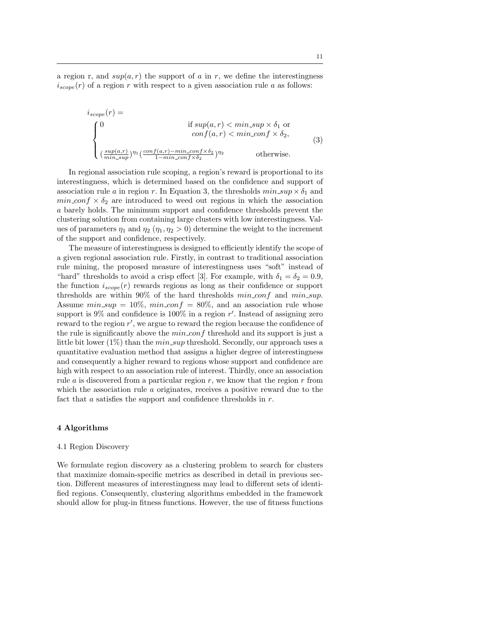a region r, and  $sup(a, r)$  the support of a in r, we define the interestingness  $i_{scope}(r)$  of a region r with respect to a given association rule a as follows:

$$
i_{scope}(r) = \n\begin{cases}\n0 & \text{if } sup(a,r) < min\_sup \times \delta_1 \text{ or} \\
0 & \text{conf}(a,r) < min\_conf \times \delta_2, \\
\left(\frac{sup(a,r)}{min\_sup}\right)^{\eta_1} \left(\frac{conf(a,r) - min\_conf \times \delta_2}{1 - min\_conf \times \delta_2}\right)^{\eta_2} & \text{otherwise.} \n\end{cases}\n\tag{3}
$$

In regional association rule scoping, a region's reward is proportional to its interestingness, which is determined based on the confidence and support of association rule a in region r. In Equation 3, the thresholds  $min\_sup \times \delta_1$  and  $min\_{conf} \times \delta_2$  are introduced to weed out regions in which the association a barely holds. The minimum support and confidence thresholds prevent the clustering solution from containing large clusters with low interestingness. Values of parameters  $\eta_1$  and  $\eta_2$  ( $\eta_1, \eta_2 > 0$ ) determine the weight to the increment of the support and confidence, respectively.

The measure of interestingness is designed to efficiently identify the scope of a given regional association rule. Firstly, in contrast to traditional association rule mining, the proposed measure of interestingness uses "soft" instead of "hard" thresholds to avoid a crisp effect [3]. For example, with  $\delta_1 = \delta_2 = 0.9$ , the function  $i_{scope}(r)$  rewards regions as long as their confidence or support thresholds are within  $90\%$  of the hard thresholds  $min_{conf}$  and  $min_{sup.}$ Assume  $min\_sup = 10\%, min\_conf = 80\%,$  and an association rule whose support is  $9\%$  and confidence is  $100\%$  in a region r'. Instead of assigning zero reward to the region  $r'$ , we argue to reward the region because the confidence of the rule is significantly above the  $min_{s} \text{conf}$  threshold and its support is just a little bit lower  $(1\%)$  than the  $min\_sup$  threshold. Secondly, our approach uses a quantitative evaluation method that assigns a higher degree of interestingness and consequently a higher reward to regions whose support and confidence are high with respect to an association rule of interest. Thirdly, once an association rule  $a$  is discovered from a particular region  $r$ , we know that the region  $r$  from which the association rule  $\alpha$  originates, receives a positive reward due to the fact that  $a$  satisfies the support and confidence thresholds in  $r$ .

## 4 Algorithms

#### 4.1 Region Discovery

We formulate region discovery as a clustering problem to search for clusters that maximize domain-specific metrics as described in detail in previous section. Different measures of interestingness may lead to different sets of identified regions. Consequently, clustering algorithms embedded in the framework should allow for plug-in fitness functions. However, the use of fitness functions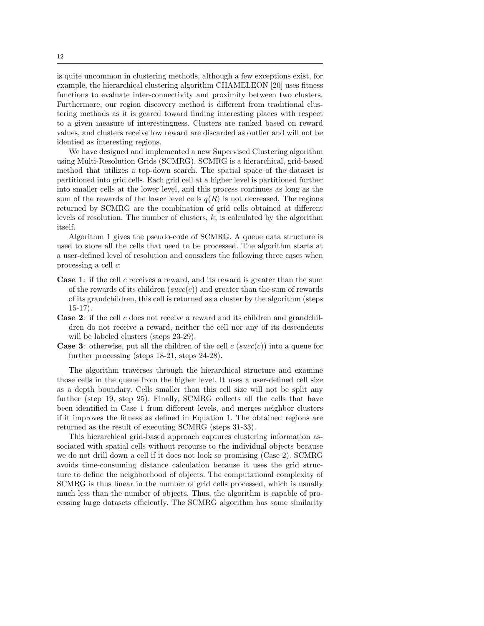is quite uncommon in clustering methods, although a few exceptions exist, for example, the hierarchical clustering algorithm CHAMELEON [20] uses fitness functions to evaluate inter-connectivity and proximity between two clusters. Furthermore, our region discovery method is different from traditional clustering methods as it is geared toward finding interesting places with respect to a given measure of interestingness. Clusters are ranked based on reward values, and clusters receive low reward are discarded as outlier and will not be identied as interesting regions.

We have designed and implemented a new Supervised Clustering algorithm using Multi-Resolution Grids (SCMRG). SCMRG is a hierarchical, grid-based method that utilizes a top-down search. The spatial space of the dataset is partitioned into grid cells. Each grid cell at a higher level is partitioned further into smaller cells at the lower level, and this process continues as long as the sum of the rewards of the lower level cells  $q(R)$  is not decreased. The regions returned by SCMRG are the combination of grid cells obtained at different levels of resolution. The number of clusters,  $k$ , is calculated by the algorithm itself.

Algorithm 1 gives the pseudo-code of SCMRG. A queue data structure is used to store all the cells that need to be processed. The algorithm starts at a user-defined level of resolution and considers the following three cases when processing a cell c:

- Case 1: if the cell c receives a reward, and its reward is greater than the sum of the rewards of its children (succ(c)) and greater than the sum of rewards of its grandchildren, this cell is returned as a cluster by the algorithm (steps 15-17).
- **Case 2:** if the cell c does not receive a reward and its children and grandchildren do not receive a reward, neither the cell nor any of its descendents will be labeled clusters (steps 23-29).
- **Case 3:** otherwise, put all the children of the cell c  $(succ(c))$  into a queue for further processing (steps 18-21, steps 24-28).

The algorithm traverses through the hierarchical structure and examine those cells in the queue from the higher level. It uses a user-defined cell size as a depth boundary. Cells smaller than this cell size will not be split any further (step 19, step 25). Finally, SCMRG collects all the cells that have been identified in Case 1 from different levels, and merges neighbor clusters if it improves the fitness as defined in Equation 1. The obtained regions are returned as the result of executing SCMRG (steps 31-33).

This hierarchical grid-based approach captures clustering information associated with spatial cells without recourse to the individual objects because we do not drill down a cell if it does not look so promising (Case 2). SCMRG avoids time-consuming distance calculation because it uses the grid structure to define the neighborhood of objects. The computational complexity of SCMRG is thus linear in the number of grid cells processed, which is usually much less than the number of objects. Thus, the algorithm is capable of processing large datasets efficiently. The SCMRG algorithm has some similarity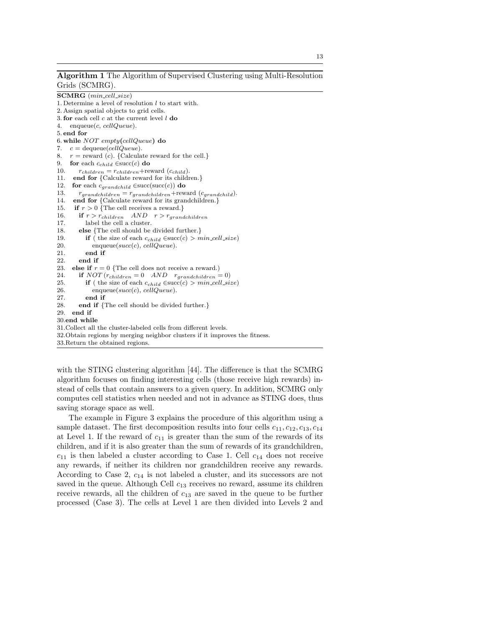Algorithm 1 The Algorithm of Supervised Clustering using Multi-Resolution Grids (SCMRG).

SCMRG (min\_cell\_size) 1. Determine a level of resolution  $l$  to start with. 2. Assign spatial objects to grid cells. 3. for each cell  $c$  at the current level  $l$  do 4. enqueue(c, cellQueue). 5. end for 6. while NOT empty(cellQueue) do 7.  $c = \text{dequeue}(cellQueue)$ . 8.  $r =$  reward (c). {Calculate reward for the cell.} 9. **for** each  $c_{child} \in succ(c)$  **do**<br>10.  $r_{children} = r_{children} + re$  $r_{children} = r_{children} + \text{reward}(c_{child}).$ 11. end for {Calculate reward for its children.} 12. for each  $c_{grandchild} \in succ(\text{succ}(c))$  do 13.  $r_{grandchildren} = r_{grandchildren} + \text{reward}(c_{grandchild}).$ 14. end for {Calculate reward for its grandchildren.} 15. if  $r > 0$  {The cell receives a reward.} 16. if  $r > r_{children}$  AND  $r > r_{grandchildren}$ 17. label the cell a cluster. 18. else {The cell should be divided further.} 19. **if** ( the size of each  $c_{child} \in succ(c) > min_{cell\_size}$ ) 20.  $enqueue(succ(c), cellQueue).$ 21. end if 22. end if 23. else if  $r = 0$  {The cell does not receive a reward.) 24. if  $NOT (r_{children} = 0$   $AND$   $r_{grandchildren} = 0)$ 25. **if** ( the size of each  $c_{child} \in succ(c) > min\_cell\_size$ )<br>26. enqueue( $succ(c)$ ,  $cellQueue$ ).  $enqueue(succ(c), cellQueue).$ 27. end if 28. end if {The cell should be divided further.} 29. end if 30.end while 31.Collect all the cluster-labeled cells from different levels. 32.Obtain regions by merging neighbor clusters if it improves the fitness. 33.Return the obtained regions.

with the STING clustering algorithm [44]. The difference is that the SCMRG algorithm focuses on finding interesting cells (those receive high rewards) instead of cells that contain answers to a given query. In addition, SCMRG only computes cell statistics when needed and not in advance as STING does, thus saving storage space as well.

The example in Figure 3 explains the procedure of this algorithm using a sample dataset. The first decomposition results into four cells  $c_{11}, c_{12}, c_{13}, c_{14}$ at Level 1. If the reward of  $c_{11}$  is greater than the sum of the rewards of its children, and if it is also greater than the sum of rewards of its grandchildren,  $c_{11}$  is then labeled a cluster according to Case 1. Cell  $c_{14}$  does not receive any rewards, if neither its children nor grandchildren receive any rewards. According to Case 2,  $c_{14}$  is not labeled a cluster, and its successors are not saved in the queue. Although Cell  $c_{13}$  receives no reward, assume its children receive rewards, all the children of  $c_{13}$  are saved in the queue to be further processed (Case 3). The cells at Level 1 are then divided into Levels 2 and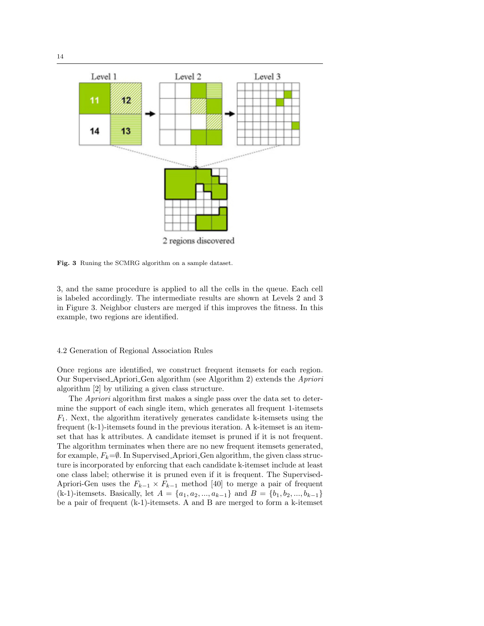

Fig. 3 Runing the SCMRG algorithm on a sample dataset.

3, and the same procedure is applied to all the cells in the queue. Each cell is labeled accordingly. The intermediate results are shown at Levels 2 and 3 in Figure 3. Neighbor clusters are merged if this improves the fitness. In this example, two regions are identified.

## 4.2 Generation of Regional Association Rules

Once regions are identified, we construct frequent itemsets for each region. Our Supervised Apriori Gen algorithm (see Algorithm 2) extends the Apriori algorithm [2] by utilizing a given class structure.

The *Apriori* algorithm first makes a single pass over the data set to determine the support of each single item, which generates all frequent 1-itemsets  $F_1$ . Next, the algorithm iteratively generates candidate k-itemsets using the frequent (k-1)-itemsets found in the previous iteration. A k-itemset is an itemset that has k attributes. A candidate itemset is pruned if it is not frequent. The algorithm terminates when there are no new frequent itemsets generated, for example,  $F_k=$ Ø. In Supervised Apriori Gen algorithm, the given class structure is incorporated by enforcing that each candidate k-itemset include at least one class label; otherwise it is pruned even if it is frequent. The Supervised-Apriori-Gen uses the  $F_{k-1} \times F_{k-1}$  method [40] to merge a pair of frequent (k-1)-itemsets. Basically, let  $A = \{a_1, a_2, ..., a_{k-1}\}\$  and  $B = \{b_1, b_2, ..., b_{k-1}\}\$ be a pair of frequent (k-1)-itemsets. A and B are merged to form a k-itemset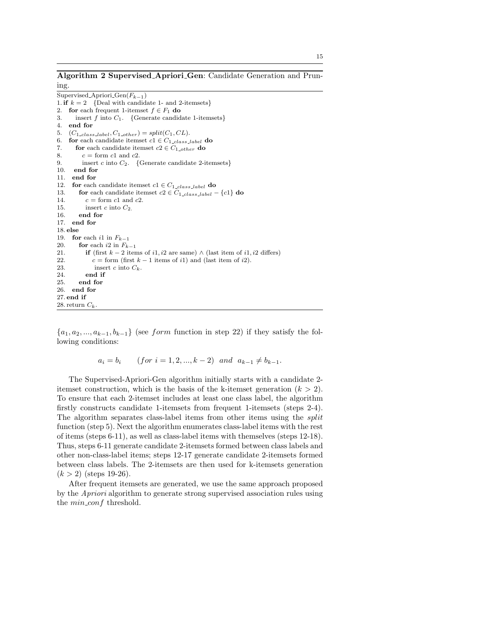Algorithm 2 Supervised Apriori Gen: Candidate Generation and Pruning.

Supervised\_Apriori\_ $Gen(F_{k-1})$ 1. if  $k = 2$  {Deal with candidate 1- and 2-itemsets} 2. for each frequent 1-itemset  $f \in F_1$  do 3. insert f into  $C_1$ . {Generate candidate 1-itemsets}<br>4. **end for** 4. end for 5.  $(C_{1-class \text{-} label}, C_{1 \text{-}other}) = split(C_1, CL).$ 6. for each candidate itemset  $c1 \in C_{1 \_ class \_ label}$  do 7. **for** each candidate itemset  $c2 \in C_{1 \_other}$  **do** 8.  $c = \text{form } c1 \text{ and } c2.$ 9. insert c into  $C_2$ . {Generate candidate 2-itemsets} 10. end for 11. end for 12. for each candidate itemset  $c_1 \in C_{1-class \text{-} label}$  do 13. for each candidate itemset  $c_2 \in C_{1 \text{class\_label}} - \{c_1\}$  do 14.  $c = \text{form } c1 \text{ and } c2.$ 15. insert c into  $C_2$ . 16. end for 17. end for 18. else 19. **for** each i1 in  $F_{k-1}$ 20. **for** each i2 in  $F_{k-1}$ <br>21. **if** (first  $k-2$  iter **if** (first k − 2 items of i1, i2 are same)  $\land$  (last item of i1, i2 differs) 22. c = form (first  $k - 1$  items of i1) and (last item of i2). 23. insert c into  $C_k$ .<br>24. **end if** end if 25. end for 26. end for 27. end if 28. return  $C_k$ 

 ${a_1, a_2, ..., a_{k-1}, b_{k-1}}$  (see form function in step 22) if they satisfy the following conditions:

 $a_i = b_i$  (for  $i = 1, 2, ..., k - 2$ ) and  $a_{k-1} \neq b_{k-1}$ .

The Supervised-Apriori-Gen algorithm initially starts with a candidate 2 itemset construction, which is the basis of the k-itemset generation  $(k > 2)$ . To ensure that each 2-itemset includes at least one class label, the algorithm firstly constructs candidate 1-itemsets from frequent 1-itemsets (steps 2-4). The algorithm separates class-label items from other items using the *split* function (step 5). Next the algorithm enumerates class-label items with the rest of items (steps 6-11), as well as class-label items with themselves (steps 12-18). Thus, steps 6-11 generate candidate 2-itemsets formed between class labels and other non-class-label items; steps 12-17 generate candidate 2-itemsets formed between class labels. The 2-itemsets are then used for k-itemsets generation  $(k > 2)$  (steps 19-26).

After frequent itemsets are generated, we use the same approach proposed by the Apriori algorithm to generate strong supervised association rules using the *min\_conf* threshold.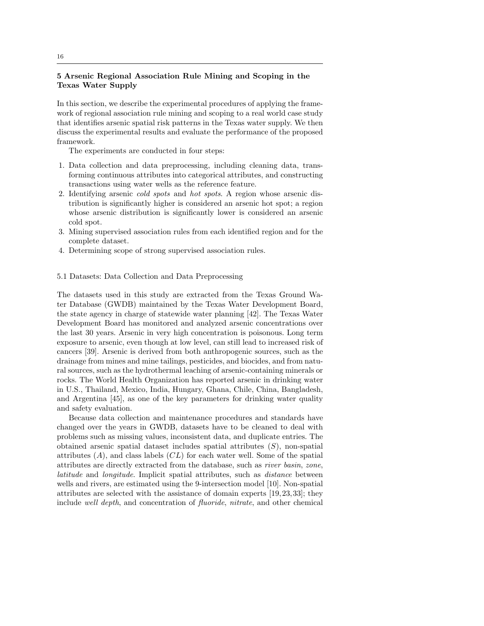# 5 Arsenic Regional Association Rule Mining and Scoping in the Texas Water Supply

In this section, we describe the experimental procedures of applying the framework of regional association rule mining and scoping to a real world case study that identifies arsenic spatial risk patterns in the Texas water supply. We then discuss the experimental results and evaluate the performance of the proposed framework.

The experiments are conducted in four steps:

- 1. Data collection and data preprocessing, including cleaning data, transforming continuous attributes into categorical attributes, and constructing transactions using water wells as the reference feature.
- 2. Identifying arsenic cold spots and hot spots. A region whose arsenic distribution is significantly higher is considered an arsenic hot spot; a region whose arsenic distribution is significantly lower is considered an arsenic cold spot.
- 3. Mining supervised association rules from each identified region and for the complete dataset.
- 4. Determining scope of strong supervised association rules.

#### 5.1 Datasets: Data Collection and Data Preprocessing

The datasets used in this study are extracted from the Texas Ground Water Database (GWDB) maintained by the Texas Water Development Board, the state agency in charge of statewide water planning [42]. The Texas Water Development Board has monitored and analyzed arsenic concentrations over the last 30 years. Arsenic in very high concentration is poisonous. Long term exposure to arsenic, even though at low level, can still lead to increased risk of cancers [39]. Arsenic is derived from both anthropogenic sources, such as the drainage from mines and mine tailings, pesticides, and biocides, and from natural sources, such as the hydrothermal leaching of arsenic-containing minerals or rocks. The World Health Organization has reported arsenic in drinking water in U.S., Thailand, Mexico, India, Hungary, Ghana, Chile, China, Bangladesh, and Argentina [45], as one of the key parameters for drinking water quality and safety evaluation.

Because data collection and maintenance procedures and standards have changed over the years in GWDB, datasets have to be cleaned to deal with problems such as missing values, inconsistent data, and duplicate entries. The obtained arsenic spatial dataset includes spatial attributes  $(S)$ , non-spatial attributes  $(A)$ , and class labels  $(CL)$  for each water well. Some of the spatial attributes are directly extracted from the database, such as river basin, zone, latitude and longitude. Implicit spatial attributes, such as distance between wells and rivers, are estimated using the 9-intersection model [10]. Non-spatial attributes are selected with the assistance of domain experts [19, 23, 33]; they include well depth, and concentration of fluoride, nitrate, and other chemical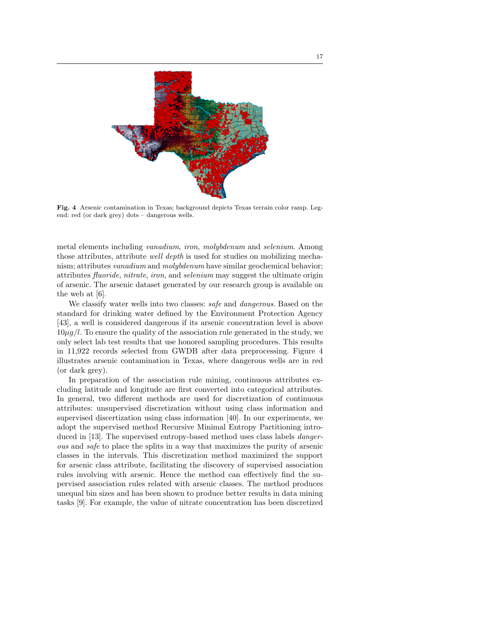

Fig. 4 Arsenic contamination in Texas; background depicts Texas terrain color ramp. Legend: red (or dark grey) dots – dangerous wells.

metal elements including vanadium, iron, molybdenum and selenium. Among those attributes, attribute well depth is used for studies on mobilizing mechanism; attributes *vanadium* and *molybdenum* have similar geochemical behavior; attributes fluoride, nitrate, iron, and selenium may suggest the ultimate origin of arsenic. The arsenic dataset generated by our research group is available on the web at [6].

We classify water wells into two classes: *safe* and *dangerous*. Based on the standard for drinking water defined by the Environment Protection Agency [43], a well is considered dangerous if its arsenic concentration level is above  $10\mu g/l$ . To ensure the quality of the association rule generated in the study, we only select lab test results that use honored sampling procedures. This results in 11,922 records selected from GWDB after data preprocessing. Figure 4 illustrates arsenic contamination in Texas, where dangerous wells are in red (or dark grey).

In preparation of the association rule mining, continuous attributes excluding latitude and longitude are first converted into categorical attributes. In general, two different methods are used for discretization of continuous attributes: unsupervised discretization without using class information and supervised discertization using class information [40]. In our experiments, we adopt the supervised method Recursive Minimal Entropy Partitioning introduced in [13]. The supervised entropy-based method uses class labels dangerous and safe to place the splits in a way that maximizes the purity of arsenic classes in the intervals. This discretization method maximized the support for arsenic class attribute, facilitating the discovery of supervised association rules involving with arsenic. Hence the method can effectively find the supervised association rules related with arsenic classes. The method produces unequal bin sizes and has been shown to produce better results in data mining tasks [9]. For example, the value of nitrate concentration has been discretized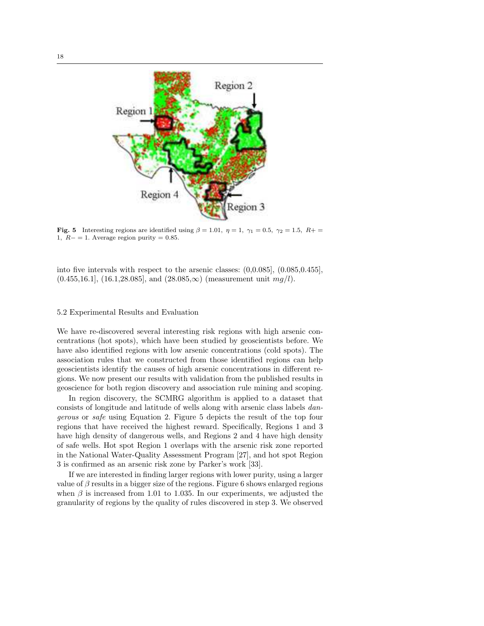

Fig. 5 Interesting regions are identified using  $\beta = 1.01$ ,  $\eta = 1$ ,  $\gamma_1 = 0.5$ ,  $\gamma_2 = 1.5$ ,  $R_+ =$ 1,  $R- = 1$ . Average region purity = 0.85.

into five intervals with respect to the arsenic classes: (0,0.085], (0.085,0.455],  $(0.455,16.1]$ ,  $(16.1,28.085]$ , and  $(28.085,\infty)$  (measurement unit  $mq/l$ ).

# 5.2 Experimental Results and Evaluation

We have re-discovered several interesting risk regions with high arsenic concentrations (hot spots), which have been studied by geoscientists before. We have also identified regions with low arsenic concentrations (cold spots). The association rules that we constructed from those identified regions can help geoscientists identify the causes of high arsenic concentrations in different regions. We now present our results with validation from the published results in geoscience for both region discovery and association rule mining and scoping.

In region discovery, the SCMRG algorithm is applied to a dataset that consists of longitude and latitude of wells along with arsenic class labels dangerous or safe using Equation 2. Figure 5 depicts the result of the top four regions that have received the highest reward. Specifically, Regions 1 and 3 have high density of dangerous wells, and Regions 2 and 4 have high density of safe wells. Hot spot Region 1 overlaps with the arsenic risk zone reported in the National Water-Quality Assessment Program [27], and hot spot Region 3 is confirmed as an arsenic risk zone by Parker's work [33].

If we are interested in finding larger regions with lower purity, using a larger value of  $\beta$  results in a bigger size of the regions. Figure 6 shows enlarged regions when  $\beta$  is increased from 1.01 to 1.035. In our experiments, we adjusted the granularity of regions by the quality of rules discovered in step 3. We observed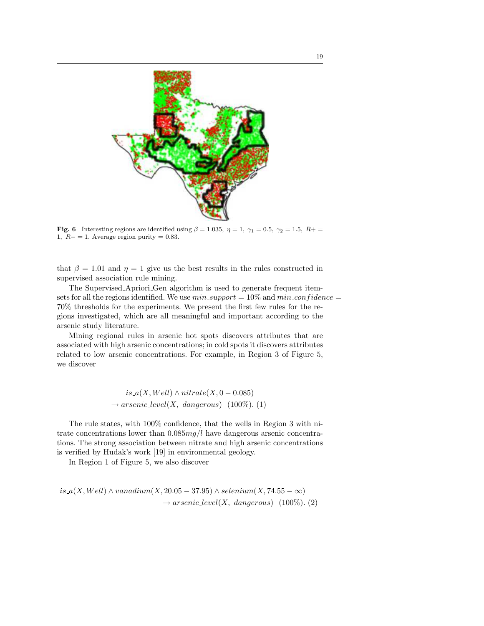

Fig. 6 Interesting regions are identified using  $\beta = 1.035$ ,  $\eta = 1$ ,  $\gamma_1 = 0.5$ ,  $\gamma_2 = 1.5$ ,  $R_+ =$ 1,  $R- = 1$ . Average region purity = 0.83.

that  $\beta = 1.01$  and  $\eta = 1$  give us the best results in the rules constructed in supervised association rule mining.

The Supervised Apriori Gen algorithm is used to generate frequent itemsets for all the regions identified. We use  $min\_support = 10\%$  and  $min\_confidence =$ 70% thresholds for the experiments. We present the first few rules for the regions investigated, which are all meaningful and important according to the arsenic study literature.

Mining regional rules in arsenic hot spots discovers attributes that are associated with high arsenic concentrations; in cold spots it discovers attributes related to low arsenic concentrations. For example, in Region 3 of Figure 5, we discover

> is\_a(X, Well) ∧ nitrate(X, 0 – 0.085)  $\rightarrow$  arsenic\_level(X, dangerous) (100%). (1)

The rule states, with 100% confidence, that the wells in Region 3 with nitrate concentrations lower than  $0.085mg/l$  have dangerous arsenic concentrations. The strong association between nitrate and high arsenic concentrations is verified by Hudak's work [19] in environmental geology.

In Region 1 of Figure 5, we also discover

is  $a(X, Well) \wedge vanadium(X, 20.05 - 37.95) \wedge selenium(X, 74.55 - \infty)$  $\rightarrow arsenic\_level(X, \; dangerous)$  (100%). (2)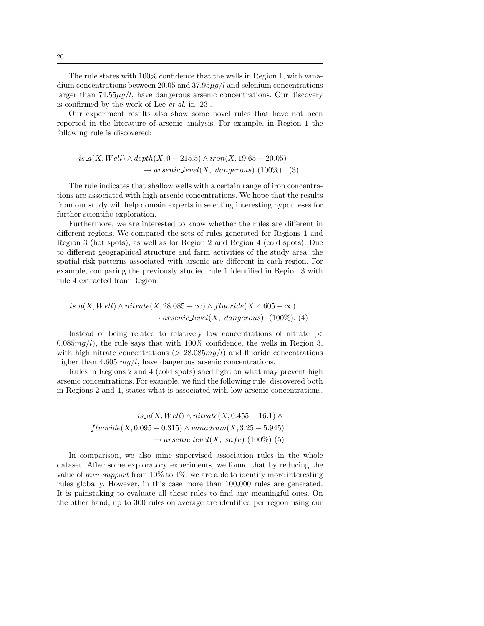The rule states with 100% confidence that the wells in Region 1, with vanadium concentrations between 20.05 and  $37.95\mu q/l$  and selenium concentrations larger than  $74.55\mu g/l$ , have dangerous arsenic concentrations. Our discovery is confirmed by the work of Lee et al. in [23].

Our experiment results also show some novel rules that have not been reported in the literature of arsenic analysis. For example, in Region 1 the following rule is discovered:

$$
is\_\alpha(X, Well) \land depth(X, 0-215.5) \land iron(X, 19.65-20.05)
$$
  

$$
\rightarrow arsenic\_level(X, dangerous) \ (100\%). \ (3)
$$

The rule indicates that shallow wells with a certain range of iron concentrations are associated with high arsenic concentrations. We hope that the results from our study will help domain experts in selecting interesting hypotheses for further scientific exploration.

Furthermore, we are interested to know whether the rules are different in different regions. We compared the sets of rules generated for Regions 1 and Region 3 (hot spots), as well as for Region 2 and Region 4 (cold spots). Due to different geographical structure and farm activities of the study area, the spatial risk patterns associated with arsenic are different in each region. For example, comparing the previously studied rule 1 identified in Region 3 with rule 4 extracted from Region 1:

$$
is.a(X, Well) \land nitrate(X, 28.085 - \infty) \land fluoride(X, 4.605 - \infty)
$$
  

$$
\rightarrow arsenic\_level(X, dangerous) \quad (100\%). \tag{4}
$$

Instead of being related to relatively low concentrations of nitrate (<  $0.085mg/l$ , the rule says that with 100% confidence, the wells in Region 3, with high nitrate concentrations ( $> 28.085mg/l$ ) and fluoride concentrations higher than 4.605  $mq/l$ , have dangerous arsenic concentrations.

Rules in Regions 2 and 4 (cold spots) shed light on what may prevent high arsenic concentrations. For example, we find the following rule, discovered both in Regions 2 and 4, states what is associated with low arsenic concentrations.

> $is_ a(X, Well) \wedge nitrate(X, 0.455 - 16.1) \wedge$  $fluoride(X, 0.095 - 0.315) \wedge vanadium(X, 3.25 - 5.945)$  $\rightarrow$  arsenic\_level(X, safe) (100\%) (5)

In comparison, we also mine supervised association rules in the whole dataset. After some exploratory experiments, we found that by reducing the value of  $min\_support$  from 10% to 1%, we are able to identify more interesting rules globally. However, in this case more than 100,000 rules are generated. It is painstaking to evaluate all these rules to find any meaningful ones. On the other hand, up to 300 rules on average are identified per region using our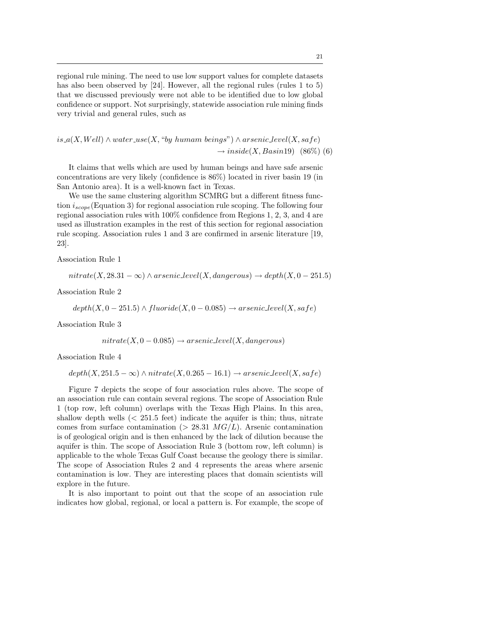regional rule mining. The need to use low support values for complete datasets has also been observed by [24]. However, all the regional rules (rules 1 to 5) that we discussed previously were not able to be identified due to low global confidence or support. Not surprisingly, statewide association rule mining finds very trivial and general rules, such as

$$
is_a(X, Well) \land water\_use(X, "by human beings") \land arsenic\_level(X, safe)
$$
  

$$
\rightarrow inside(X, Basin19) \quad (86\%)
$$
 (6)

It claims that wells which are used by human beings and have safe arsenic concentrations are very likely (confidence is 86%) located in river basin 19 (in San Antonio area). It is a well-known fact in Texas.

We use the same clustering algorithm SCMRG but a different fitness function  $i_{scope}$  (Equation 3) for regional association rule scoping. The following four regional association rules with 100% confidence from Regions 1, 2, 3, and 4 are used as illustration examples in the rest of this section for regional association rule scoping. Association rules 1 and 3 are confirmed in arsenic literature [19, 23].

Association Rule 1

 $nitrate(X, 28.31 - \infty) \wedge arsenic\_level(X, dangerous) \rightarrow depth(X, 0 - 251.5)$ 

Association Rule 2

$$
depth(X, 0-251.5) \wedge fluoride(X, 0-0.085) \rightarrow arsenic-level(X, safe)
$$

Association Rule 3

 $nitrate(X, 0 - 0.085) \rightarrow arsenic\_level(X, dangerous)$ 

Association Rule 4

## $depth(X, 251.5 - \infty) \land nitrate(X, 0.265 - 16.1) \rightarrow arsenic\_level(X, safe)$

Figure 7 depicts the scope of four association rules above. The scope of an association rule can contain several regions. The scope of Association Rule 1 (top row, left column) overlaps with the Texas High Plains. In this area, shallow depth wells  $\langle$  251.5 feet) indicate the aquifer is thin; thus, nitrate comes from surface contamination ( $> 28.31$   $MG/L$ ). Arsenic contamination is of geological origin and is then enhanced by the lack of dilution because the aquifer is thin. The scope of Association Rule 3 (bottom row, left column) is applicable to the whole Texas Gulf Coast because the geology there is similar. The scope of Association Rules 2 and 4 represents the areas where arsenic contamination is low. They are interesting places that domain scientists will explore in the future.

It is also important to point out that the scope of an association rule indicates how global, regional, or local a pattern is. For example, the scope of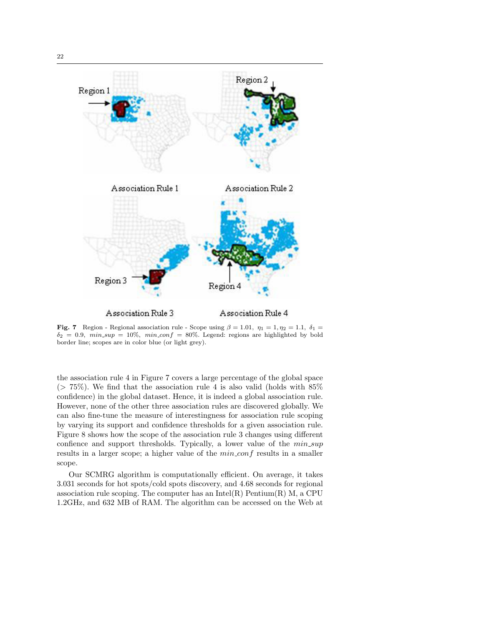

Fig. 7 Region - Regional association rule - Scope using  $\beta = 1.01$ ,  $\eta_1 = 1, \eta_2 = 1.1$ ,  $\delta_1 =$  $\delta_2 = 0.9$ ,  $min\_sup = 10\%$ ,  $min\_conf = 80\%$ . Legend: regions are highlighted by bold border line; scopes are in color blue (or light grey).

the association rule 4 in Figure 7 covers a large percentage of the global space  $(> 75\%)$ . We find that the association rule 4 is also valid (holds with 85%) confidence) in the global dataset. Hence, it is indeed a global association rule. However, none of the other three association rules are discovered globally. We can also fine-tune the measure of interestingness for association rule scoping by varying its support and confidence thresholds for a given association rule. Figure 8 shows how the scope of the association rule 3 changes using different confience and support thresholds. Typically, a lower value of the  $min\_sup$ results in a larger scope; a higher value of the  $min\_conf$  results in a smaller scope.

Our SCMRG algorithm is computationally efficient. On average, it takes 3.031 seconds for hot spots/cold spots discovery, and 4.68 seconds for regional association rule scoping. The computer has an Intel $(R)$  Pentium $(R)$  M, a CPU 1.2GHz, and 632 MB of RAM. The algorithm can be accessed on the Web at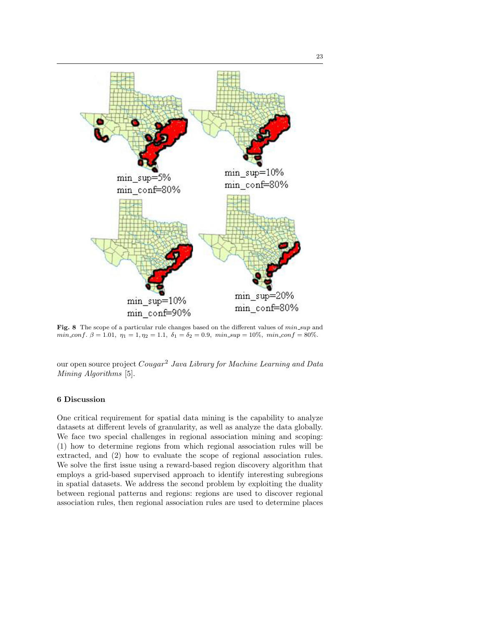

Fig. 8 The scope of a particular rule changes based on the different values of  $min\_sup$  and min\_conf.  $\beta = 1.01$ ,  $\eta_1 = 1$ ,  $\eta_2 = 1.1$ ,  $\delta_1 = \delta_2 = 0.9$ ,  $min\_sup = 10\%$ ,  $min\_conf = 80\%$ .

our open source project Cougar<sup>2</sup> Java Library for Machine Learning and Data Mining Algorithms [5].

# 6 Discussion

One critical requirement for spatial data mining is the capability to analyze datasets at different levels of granularity, as well as analyze the data globally. We face two special challenges in regional association mining and scoping: (1) how to determine regions from which regional association rules will be extracted, and (2) how to evaluate the scope of regional association rules. We solve the first issue using a reward-based region discovery algorithm that employs a grid-based supervised approach to identify interesting subregions in spatial datasets. We address the second problem by exploiting the duality between regional patterns and regions: regions are used to discover regional association rules, then regional association rules are used to determine places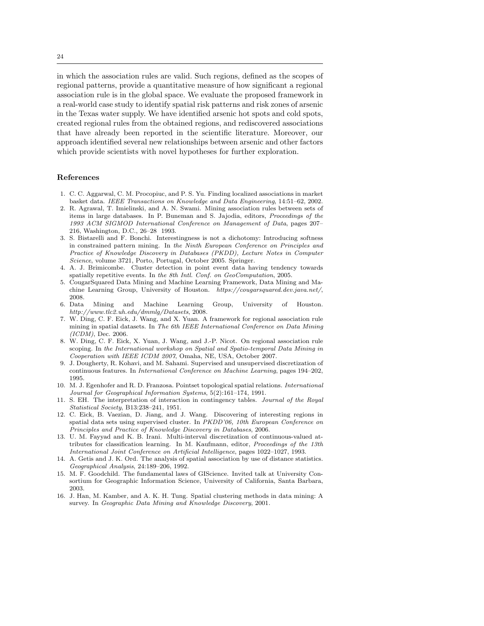in which the association rules are valid. Such regions, defined as the scopes of regional patterns, provide a quantitative measure of how significant a regional association rule is in the global space. We evaluate the proposed framework in a real-world case study to identify spatial risk patterns and risk zones of arsenic in the Texas water supply. We have identified arsenic hot spots and cold spots, created regional rules from the obtained regions, and rediscovered associations that have already been reported in the scientific literature. Moreover, our approach identified several new relationships between arsenic and other factors which provide scientists with novel hypotheses for further exploration.

#### References

- 1. C. C. Aggarwal, C. M. Procopiuc, and P. S. Yu. Finding localized associations in market basket data. IEEE Transactions on Knowledge and Data Engineering, 14:51–62, 2002.
- 2. R. Agrawal, T. Imielinski, and A. N. Swami. Mining association rules between sets of items in large databases. In P. Buneman and S. Jajodia, editors, Proceedings of the 1993 ACM SIGMOD International Conference on Management of Data, pages 207– 216, Washington, D.C., 26–28 1993.
- 3. S. Bistarelli and F. Bonchi. Interestingness is not a dichotomy: Introducing softness in constrained pattern mining. In the Ninth European Conference on Principles and Practice of Knowledge Discovery in Databases (PKDD), Lecture Notes in Computer Science, volume 3721, Porto, Portugal, October 2005. Springer.
- 4. A. J. Brimicombe. Cluster detection in point event data having tendency towards spatially repetitive events. In the 8th Intl. Conf. on GeoComputation, 2005.
- 5. CougarSquared Data Mining and Machine Learning Framework, Data Mining and Machine Learning Group, University of Houston. https://cougarsquared.dev.java.net/, 2008.
- 6. Data Mining and Machine Learning Group, University of Houston. http://www.tlc2.uh.edu/dmmlg/Datasets, 2008.
- 7. W. Ding, C. F. Eick, J. Wang, and X. Yuan. A framework for regional association rule mining in spatial datasets. In The 6th IEEE International Conference on Data Mining  $(ICDM)$ , Dec. 2006.
- 8. W. Ding, C. F. Eick, X. Yuan, J. Wang, and J.-P. Nicot. On regional association rule scoping. In the International workshop on Spatial and Spatio-temporal Data Mining in Cooperation with IEEE ICDM 2007, Omaha, NE, USA, October 2007.
- 9. J. Dougherty, R. Kohavi, and M. Sahami. Supervised and unsupervised discretization of continuous features. In International Conference on Machine Learning, pages 194–202, 1995.
- 10. M. J. Egenhofer and R. D. Franzosa. Pointset topological spatial relations. International Journal for Geographical Information Systems, 5(2):161–174, 1991.
- 11. S. EH. The interpretation of interaction in contingency tables. Journal of the Royal Statistical Society, B13:238–241, 1951.
- 12. C. Eick, B. Vaezian, D. Jiang, and J. Wang. Discovering of interesting regions in spatial data sets using supervised cluster. In PKDD'06, 10th European Conference on Principles and Practice of Knowledge Discovery in Databases, 2006.
- 13. U. M. Fayyad and K. B. Irani. Multi-interval discretization of continuous-valued attributes for classification learning. In M. Kaufmann, editor, Proceedings of the 13th International Joint Conference on Artificial Intelligence, pages 1022–1027, 1993.
- 14. A. Getis and J. K. Ord. The analysis of spatial association by use of distance statistics. Geographical Analysis, 24:189–206, 1992.
- 15. M. F. Goodchild. The fundamental laws of GIScience. Invited talk at University Consortium for Geographic Information Science, University of California, Santa Barbara, 2003.
- 16. J. Han, M. Kamber, and A. K. H. Tung. Spatial clustering methods in data mining: A survey. In Geographic Data Mining and Knowledge Discovery, 2001.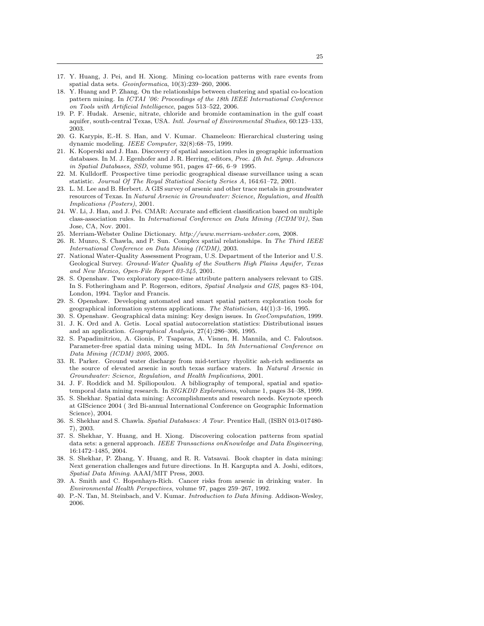- 17. Y. Huang, J. Pei, and H. Xiong. Mining co-location patterns with rare events from spatial data sets. Geoinformatica, 10(3):239-260, 2006.
- 18. Y. Huang and P. Zhang. On the relationships between clustering and spatial co-location pattern mining. In ICTAI '06: Proceedings of the 18th IEEE International Conference on Tools with Artificial Intelligence, pages 513–522, 2006.
- 19. P. F. Hudak. Arsenic, nitrate, chloride and bromide contamination in the gulf coast aquifer, south-central Texas, USA. Intl. Journal of Environmental Studies, 60:123–133, 2003.
- 20. G. Karypis, E.-H. S. Han, and V. Kumar. Chameleon: Hierarchical clustering using dynamic modeling. IEEE Computer, 32(8):68–75, 1999.
- 21. K. Koperski and J. Han. Discovery of spatial association rules in geographic information databases. In M. J. Egenhofer and J. R. Herring, editors, *Proc. 4th Int. Symp. Advances* in Spatial Databases, SSD, volume 951, pages 47–66, 6–9 1995.
- 22. M. Kulldorff. Prospective time periodic geographical disease surveillance using a scan statistic. Journal Of The Royal Statistical Society Series A, 164:61–72, 2001.
- 23. L. M. Lee and B. Herbert. A GIS survey of arsenic and other trace metals in groundwater resources of Texas. In Natural Arsenic in Groundwater: Science, Regulation, and Health Implications (Posters), 2001.
- 24. W. Li, J. Han, and J. Pei. CMAR: Accurate and efficient classification based on multiple class-association rules. In International Conference on Data Mining (ICDM'01), San Jose, CA, Nov. 2001.
- 25. Merriam-Webster Online Dictionary. http://www.merriam-webster.com, 2008.
- 26. R. Munro, S. Chawla, and P. Sun. Complex spatial relationships. In The Third IEEE International Conference on Data Mining (ICDM), 2003.
- 27. National Water-Quality Assessment Program, U.S. Department of the Interior and U.S. Geological Survey. Ground-Water Quality of the Southern High Plains Aquifer, Texas and New Mexico, Open-File Report 03-345, 2001.
- 28. S. Openshaw. Two exploratory space-time attribute pattern analysers relevant to GIS. In S. Fotheringham and P. Rogerson, editors, Spatial Analysis and GIS, pages 83–104, London, 1994. Taylor and Francis.
- 29. S. Openshaw. Developing automated and smart spatial pattern exploration tools for geographical information systems applications. The Statistician, 44(1):3–16, 1995.
- 30. S. Openshaw. Geographical data mining: Key design issues. In GeoComputation, 1999.
- 31. J. K. Ord and A. Getis. Local spatial autocorrelation statistics: Distributional issues and an application. Geographical Analysis, 27(4):286–306, 1995.
- 32. S. Papadimitriou, A. Gionis, P. Tsaparas, A. Visnen, H. Mannila, and C. Faloutsos. Parameter-free spatial data mining using MDL. In 5th International Conference on Data Mining (ICDM) 2005, 2005.
- 33. R. Parker. Ground water discharge from mid-tertiary rhyolitic ash-rich sediments as the source of elevated arsenic in south texas surface waters. In Natural Arsenic in Groundwater: Science, Regulation, and Health Implications, 2001.
- 34. J. F. Roddick and M. Spiliopoulou. A bibliography of temporal, spatial and spatiotemporal data mining research. In SIGKDD Explorations, volume 1, pages 34-38, 1999.
- 35. S. Shekhar. Spatial data mining: Accomplishments and research needs. Keynote speech at GIScience 2004 ( 3rd Bi-annual International Conference on Geographic Information Science), 2004.
- 36. S. Shekhar and S. Chawla. Spatial Databases: A Tour. Prentice Hall, (ISBN 013-017480- 7), 2003.
- 37. S. Shekhar, Y. Huang, and H. Xiong. Discovering colocation patterns from spatial data sets: a general approach. IEEE Transactions on Knowledge and Data Engineering, 16:1472–1485, 2004.
- 38. S. Shekhar, P. Zhang, Y. Huang, and R. R. Vatsavai. Book chapter in data mining: Next generation challenges and future directions. In H. Kargupta and A. Joshi, editors, Spatial Data Mining. AAAI/MIT Press, 2003.
- 39. A. Smith and C. Hopenhayn-Rich. Cancer risks from arsenic in drinking water. In Environmental Health Perspectives, volume 97, pages 259–267, 1992.
- 40. P.-N. Tan, M. Steinbach, and V. Kumar. Introduction to Data Mining. Addison-Wesley, 2006.